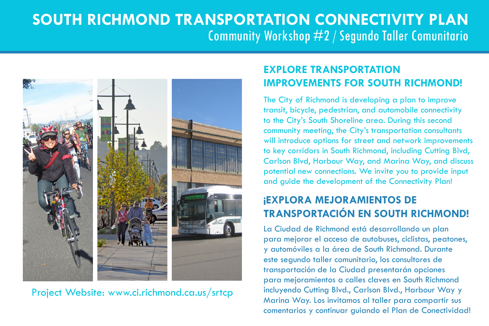## **South Richmond Transportation Connectivity Plan** Community Workshop #2 / Segundo Taller Comunitario



Project Website: www.ci.richmond.ca.us/srtcp

## **Explore TransPORTATION Improvements for South Richmond!**

The City of Richmond is developing a plan to improve transit, bicycle, pedestrian, and automobile connectivity to the City's South Shoreline area. During this second community meeting, the City's transportation consultants will introduce options for street and network improvements to key corridors in South Richmond, including Cutting Blvd, Carlson Blvd, Harbour Way, and Marina Way, and discuss potential new connections. We invite you to provide input and guide the development of the Connectivity Plan!

## **¡Explora Mejoramientos de Transportación en South Richmond!**

La Ciudad de Richmond está desarrollando un plan para mejorar el acceso de autobuses, ciclistas, peatones, y automóviles a la área de South Richmond. Durante este segundo taller comunitario, los consultores de transportación de la Ciudad presentarán opciones para mejoramientos a calles claves en South Richmond incluyendo Cutting Blvd., Carlson Blvd., Harbour Way y Marina Way. Los invitamos al taller para compartir sus comentarios y continuar guiando el Plan de Conectividad!